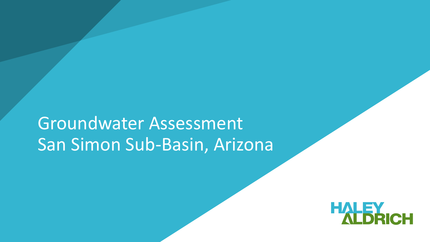# Groundwater Assessment San Simon Sub-Basin, Arizona

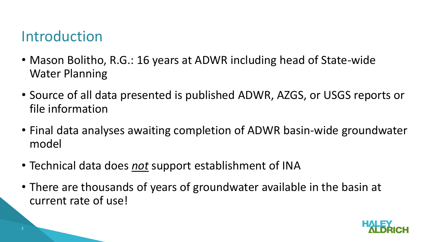#### Introduction

- Mason Bolitho, R.G.: 16 years at ADWR including head of State-wide Water Planning
- Source of all data presented is published ADWR, AZGS, or USGS reports or file information
- Final data analyses awaiting completion of ADWR basin-wide groundwater model
- Technical data does *not* support establishment of INA
- There are thousands of years of groundwater available in the basin at current rate of use!

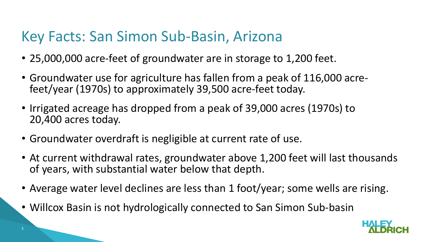#### Key Facts: San Simon Sub-Basin, Arizona

- 25,000,000 acre-feet of groundwater are in storage to 1,200 feet.
- Groundwater use for agriculture has fallen from a peak of 116,000 acrefeet/year (1970s) to approximately 39,500 acre-feet today.
- Irrigated acreage has dropped from a peak of 39,000 acres (1970s) to 20,400 acres today.
- Groundwater overdraft is negligible at current rate of use.
- At current withdrawal rates, groundwater above 1,200 feet will last thousands of years, with substantial water below that depth.
- Average water level declines are less than 1 foot/year; some wells are rising.
- Willcox Basin is not hydrologically connected to San Simon Sub-basin

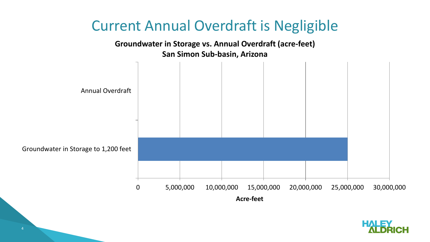

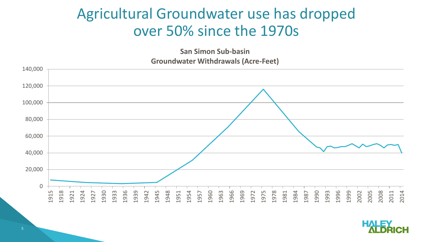#### Agricultural Groundwater use has dropped over 50% since the 1970s

**San Simon Sub-basin Groundwater Withdrawals (Acre-Feet)**



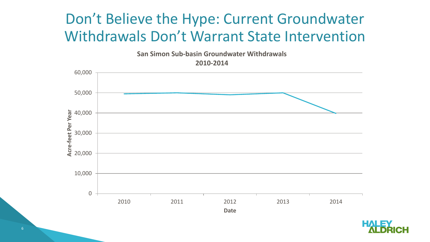#### Don't Believe the Hype: Current Groundwater Withdrawals Don't Warrant State Intervention

**San Simon Sub-basin Groundwater Withdrawals**

**2010-2014**



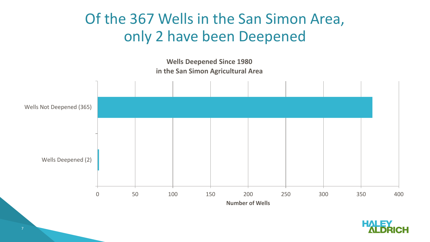### Of the 367 Wells in the San Simon Area, only 2 have been Deepened



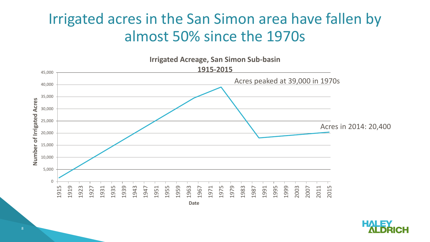#### Irrigated acres in the San Simon area have fallen by almost 50% since the 1970s



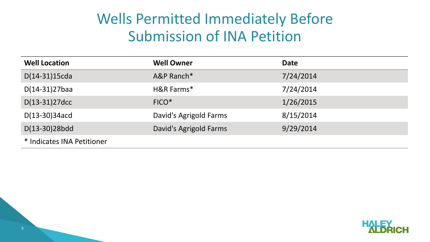#### Wells Permitted Immediately Before Submission of INA Petition

| <b>Well Location</b>       | <b>Well Owner</b>      | <b>Date</b> |
|----------------------------|------------------------|-------------|
| $D(14-31)15cda$            | A&P Ranch*             | 7/24/2014   |
| $D(14-31)27$ baa           | H&R Farms*             | 7/24/2014   |
| $D(13-31)27$ dcc           | $FICO*$                | 1/26/2015   |
| $D(13-30)34acd$            | David's Agrigold Farms | 8/15/2014   |
| D(13-30)28bdd              | David's Agrigold Farms | 9/29/2014   |
| * Indicates INA Petitioner |                        |             |